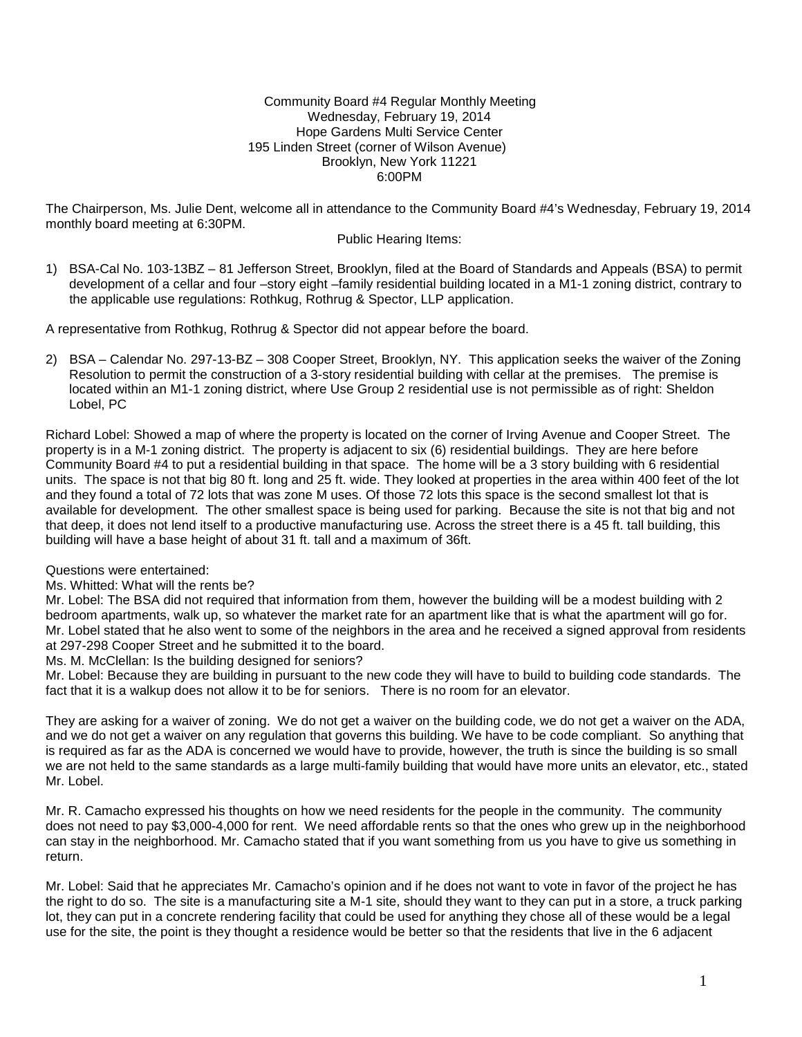#### Community Board #4 Regular Monthly Meeting Wednesday, February 19, 2014 Hope Gardens Multi Service Center 195 Linden Street (corner of Wilson Avenue) Brooklyn, New York 11221 6:00PM

The Chairperson, Ms. Julie Dent, welcome all in attendance to the Community Board #4's Wednesday, February 19, 2014 monthly board meeting at 6:30PM.

#### Public Hearing Items:

1) BSA-Cal No. 103-13BZ – 81 Jefferson Street, Brooklyn, filed at the Board of Standards and Appeals (BSA) to permit development of a cellar and four –story eight –family residential building located in a M1-1 zoning district, contrary to the applicable use regulations: Rothkug, Rothrug & Spector, LLP application.

A representative from Rothkug, Rothrug & Spector did not appear before the board.

2) BSA – Calendar No. 297-13-BZ – 308 Cooper Street, Brooklyn, NY. This application seeks the waiver of the Zoning Resolution to permit the construction of a 3-story residential building with cellar at the premises. The premise is located within an M1-1 zoning district, where Use Group 2 residential use is not permissible as of right: Sheldon Lobel, PC

Richard Lobel: Showed a map of where the property is located on the corner of Irving Avenue and Cooper Street. The property is in a M-1 zoning district. The property is adjacent to six (6) residential buildings. They are here before Community Board #4 to put a residential building in that space. The home will be a 3 story building with 6 residential units. The space is not that big 80 ft. long and 25 ft. wide. They looked at properties in the area within 400 feet of the lot and they found a total of 72 lots that was zone M uses. Of those 72 lots this space is the second smallest lot that is available for development. The other smallest space is being used for parking. Because the site is not that big and not that deep, it does not lend itself to a productive manufacturing use. Across the street there is a 45 ft. tall building, this building will have a base height of about 31 ft. tall and a maximum of 36ft.

Questions were entertained:

Ms. Whitted: What will the rents be?

Mr. Lobel: The BSA did not required that information from them, however the building will be a modest building with 2 bedroom apartments, walk up, so whatever the market rate for an apartment like that is what the apartment will go for. Mr. Lobel stated that he also went to some of the neighbors in the area and he received a signed approval from residents at 297-298 Cooper Street and he submitted it to the board.

Ms. M. McClellan: Is the building designed for seniors?

Mr. Lobel: Because they are building in pursuant to the new code they will have to build to building code standards. The fact that it is a walkup does not allow it to be for seniors. There is no room for an elevator.

They are asking for a waiver of zoning. We do not get a waiver on the building code, we do not get a waiver on the ADA, and we do not get a waiver on any regulation that governs this building. We have to be code compliant. So anything that is required as far as the ADA is concerned we would have to provide, however, the truth is since the building is so small we are not held to the same standards as a large multi-family building that would have more units an elevator, etc., stated Mr. Lobel.

Mr. R. Camacho expressed his thoughts on how we need residents for the people in the community. The community does not need to pay \$3,000-4,000 for rent. We need affordable rents so that the ones who grew up in the neighborhood can stay in the neighborhood. Mr. Camacho stated that if you want something from us you have to give us something in return.

Mr. Lobel: Said that he appreciates Mr. Camacho's opinion and if he does not want to vote in favor of the project he has the right to do so. The site is a manufacturing site a M-1 site, should they want to they can put in a store, a truck parking lot, they can put in a concrete rendering facility that could be used for anything they chose all of these would be a legal use for the site, the point is they thought a residence would be better so that the residents that live in the 6 adjacent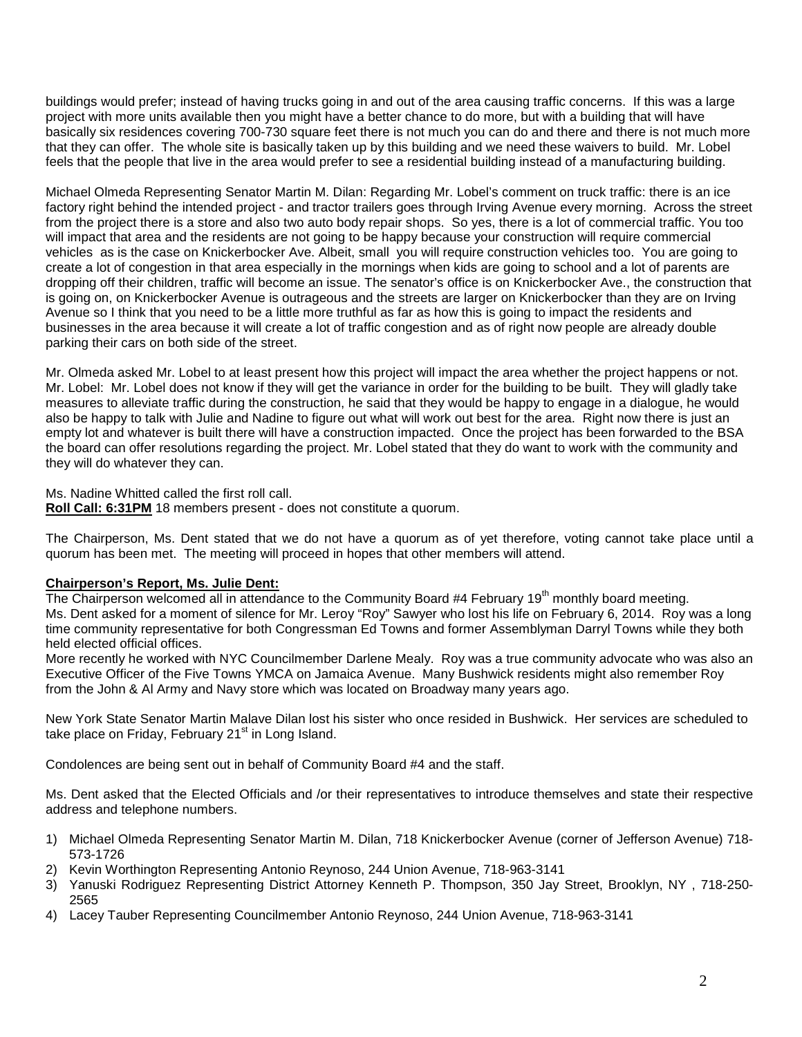buildings would prefer; instead of having trucks going in and out of the area causing traffic concerns. If this was a large project with more units available then you might have a better chance to do more, but with a building that will have basically six residences covering 700-730 square feet there is not much you can do and there and there is not much more that they can offer. The whole site is basically taken up by this building and we need these waivers to build. Mr. Lobel feels that the people that live in the area would prefer to see a residential building instead of a manufacturing building.

Michael Olmeda Representing Senator Martin M. Dilan: Regarding Mr. Lobel's comment on truck traffic: there is an ice factory right behind the intended project - and tractor trailers goes through Irving Avenue every morning. Across the street from the project there is a store and also two auto body repair shops. So yes, there is a lot of commercial traffic. You too will impact that area and the residents are not going to be happy because your construction will require commercial vehicles as is the case on Knickerbocker Ave. Albeit, small you will require construction vehicles too. You are going to create a lot of congestion in that area especially in the mornings when kids are going to school and a lot of parents are dropping off their children, traffic will become an issue. The senator's office is on Knickerbocker Ave., the construction that is going on, on Knickerbocker Avenue is outrageous and the streets are larger on Knickerbocker than they are on Irving Avenue so I think that you need to be a little more truthful as far as how this is going to impact the residents and businesses in the area because it will create a lot of traffic congestion and as of right now people are already double parking their cars on both side of the street.

Mr. Olmeda asked Mr. Lobel to at least present how this project will impact the area whether the project happens or not. Mr. Lobel: Mr. Lobel does not know if they will get the variance in order for the building to be built. They will gladly take measures to alleviate traffic during the construction, he said that they would be happy to engage in a dialogue, he would also be happy to talk with Julie and Nadine to figure out what will work out best for the area. Right now there is just an empty lot and whatever is built there will have a construction impacted. Once the project has been forwarded to the BSA the board can offer resolutions regarding the project. Mr. Lobel stated that they do want to work with the community and they will do whatever they can.

Ms. Nadine Whitted called the first roll call.

**Roll Call: 6:31PM** 18 members present - does not constitute a quorum.

The Chairperson, Ms. Dent stated that we do not have a quorum as of yet therefore, voting cannot take place until a quorum has been met. The meeting will proceed in hopes that other members will attend.

## **Chairperson's Report, Ms. Julie Dent:**

The Chairperson welcomed all in attendance to the Community Board #4 February 19<sup>th</sup> monthly board meeting. Ms. Dent asked for a moment of silence for Mr. Leroy "Roy" Sawyer who lost his life on February 6, 2014. Roy was a long time community representative for both Congressman Ed Towns and former Assemblyman Darryl Towns while they both held elected official offices.

More recently he worked with NYC Councilmember Darlene Mealy. Roy was a true community advocate who was also an Executive Officer of the Five Towns YMCA on Jamaica Avenue. Many Bushwick residents might also remember Roy from the John & Al Army and Navy store which was located on Broadway many years ago.

New York State Senator Martin Malave Dilan lost his sister who once resided in Bushwick. Her services are scheduled to take place on Friday, February  $21<sup>st</sup>$  in Long Island.

Condolences are being sent out in behalf of Community Board #4 and the staff.

Ms. Dent asked that the Elected Officials and /or their representatives to introduce themselves and state their respective address and telephone numbers.

- 1) Michael Olmeda Representing Senator Martin M. Dilan, 718 Knickerbocker Avenue (corner of Jefferson Avenue) 718- 573-1726
- 2) Kevin Worthington Representing Antonio Reynoso, 244 Union Avenue, 718-963-3141
- 3) Yanuski Rodriguez Representing District Attorney Kenneth P. Thompson, 350 Jay Street, Brooklyn, NY , 718-250- 2565
- 4) Lacey Tauber Representing Councilmember Antonio Reynoso, 244 Union Avenue, 718-963-3141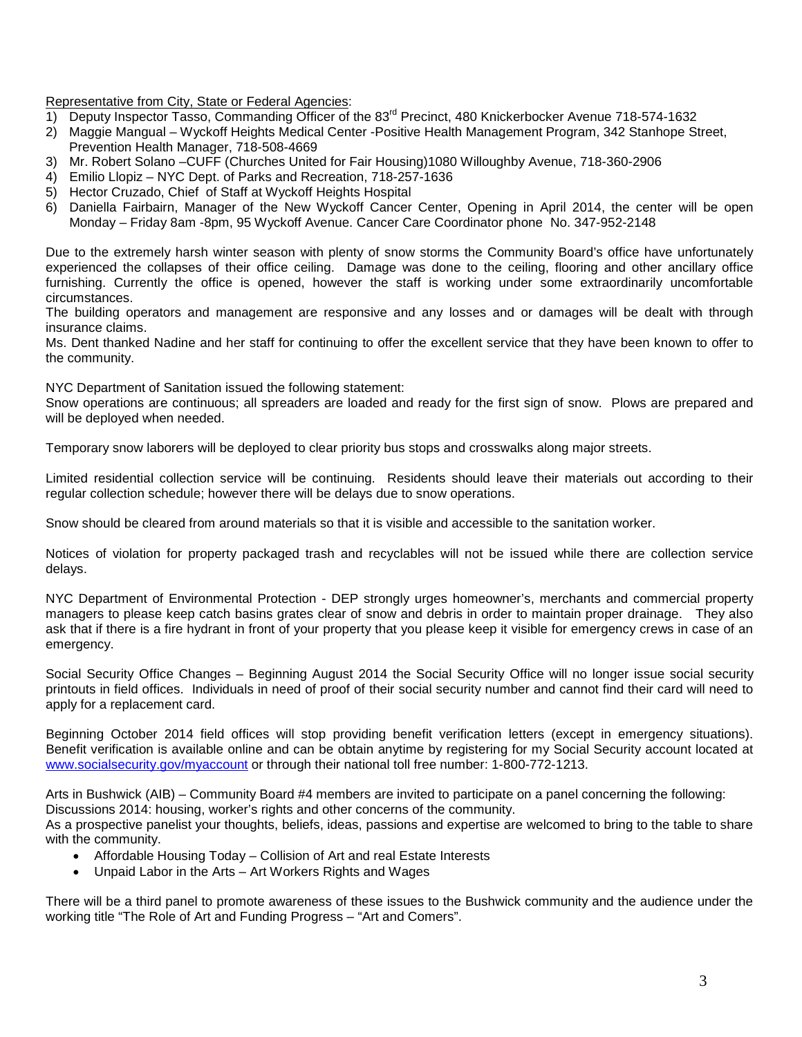Representative from City, State or Federal Agencies:

- 1) Deputy Inspector Tasso, Commanding Officer of the 83<sup>rd</sup> Precinct, 480 Knickerbocker Avenue 718-574-1632
- 2) Maggie Mangual Wyckoff Heights Medical Center -Positive Health Management Program, 342 Stanhope Street, Prevention Health Manager, 718-508-4669
- 3) Mr. Robert Solano –CUFF (Churches United for Fair Housing)1080 Willoughby Avenue, 718-360-2906
- 4) Emilio Llopiz NYC Dept. of Parks and Recreation, 718-257-1636
- 5) Hector Cruzado, Chief of Staff at Wyckoff Heights Hospital
- 6) Daniella Fairbairn, Manager of the New Wyckoff Cancer Center, Opening in April 2014, the center will be open Monday – Friday 8am -8pm, 95 Wyckoff Avenue. Cancer Care Coordinator phone No. 347-952-2148

Due to the extremely harsh winter season with plenty of snow storms the Community Board's office have unfortunately experienced the collapses of their office ceiling. Damage was done to the ceiling, flooring and other ancillary office furnishing. Currently the office is opened, however the staff is working under some extraordinarily uncomfortable circumstances.

The building operators and management are responsive and any losses and or damages will be dealt with through insurance claims.

Ms. Dent thanked Nadine and her staff for continuing to offer the excellent service that they have been known to offer to the community.

NYC Department of Sanitation issued the following statement:

Snow operations are continuous; all spreaders are loaded and ready for the first sign of snow. Plows are prepared and will be deployed when needed.

Temporary snow laborers will be deployed to clear priority bus stops and crosswalks along major streets.

Limited residential collection service will be continuing. Residents should leave their materials out according to their regular collection schedule; however there will be delays due to snow operations.

Snow should be cleared from around materials so that it is visible and accessible to the sanitation worker.

Notices of violation for property packaged trash and recyclables will not be issued while there are collection service delays.

NYC Department of Environmental Protection - DEP strongly urges homeowner's, merchants and commercial property managers to please keep catch basins grates clear of snow and debris in order to maintain proper drainage. They also ask that if there is a fire hydrant in front of your property that you please keep it visible for emergency crews in case of an emergency.

Social Security Office Changes – Beginning August 2014 the Social Security Office will no longer issue social security printouts in field offices. Individuals in need of proof of their social security number and cannot find their card will need to apply for a replacement card.

Beginning October 2014 field offices will stop providing benefit verification letters (except in emergency situations). Benefit verification is available online and can be obtain anytime by registering for my Social Security account located at [www.socialsecurity.gov/myaccount](http://www.socialsecurity.gov/myaccount) or through their national toll free number: 1-800-772-1213.

Arts in Bushwick (AIB) – Community Board #4 members are invited to participate on a panel concerning the following: Discussions 2014: housing, worker's rights and other concerns of the community.

As a prospective panelist your thoughts, beliefs, ideas, passions and expertise are welcomed to bring to the table to share with the community.

- Affordable Housing Today Collision of Art and real Estate Interests
- Unpaid Labor in the Arts Art Workers Rights and Wages

There will be a third panel to promote awareness of these issues to the Bushwick community and the audience under the working title "The Role of Art and Funding Progress – "Art and Comers".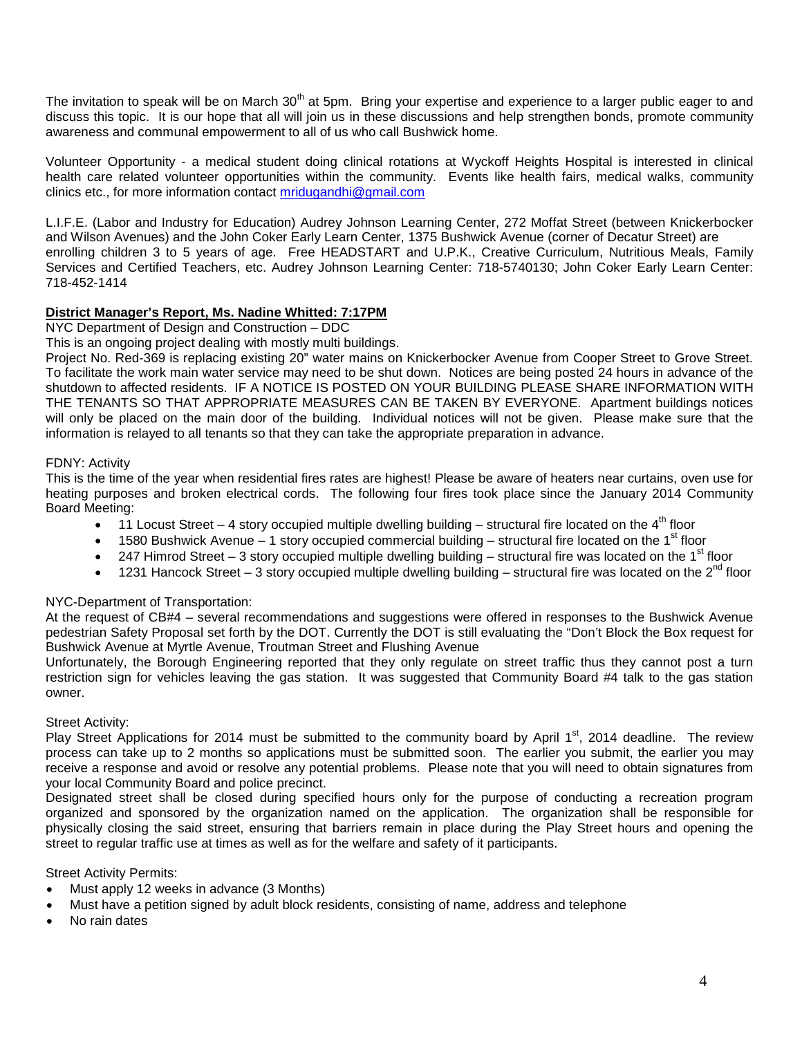The invitation to speak will be on March 30<sup>th</sup> at 5pm. Bring your expertise and experience to a larger public eager to and discuss this topic. It is our hope that all will join us in these discussions and help strengthen bonds, promote community awareness and communal empowerment to all of us who call Bushwick home.

Volunteer Opportunity - a medical student doing clinical rotations at Wyckoff Heights Hospital is interested in clinical health care related volunteer opportunities within the community. Events like health fairs, medical walks, community clinics etc., for more information contact [mridugandhi@gmail.com](mailto:mridugandhi@gmail.com) 

L.I.F.E. (Labor and Industry for Education) Audrey Johnson Learning Center, 272 Moffat Street (between Knickerbocker and Wilson Avenues) and the John Coker Early Learn Center, 1375 Bushwick Avenue (corner of Decatur Street) are enrolling children 3 to 5 years of age. Free HEADSTART and U.P.K., Creative Curriculum, Nutritious Meals, Family Services and Certified Teachers, etc. Audrey Johnson Learning Center: 718-5740130; John Coker Early Learn Center: 718-452-1414

## **District Manager's Report, Ms. Nadine Whitted: 7:17PM**

NYC Department of Design and Construction – DDC

This is an ongoing project dealing with mostly multi buildings.

Project No. Red-369 is replacing existing 20" water mains on Knickerbocker Avenue from Cooper Street to Grove Street. To facilitate the work main water service may need to be shut down. Notices are being posted 24 hours in advance of the shutdown to affected residents. IF A NOTICE IS POSTED ON YOUR BUILDING PLEASE SHARE INFORMATION WITH THE TENANTS SO THAT APPROPRIATE MEASURES CAN BE TAKEN BY EVERYONE. Apartment buildings notices will only be placed on the main door of the building. Individual notices will not be given. Please make sure that the information is relayed to all tenants so that they can take the appropriate preparation in advance.

### FDNY: Activity

This is the time of the year when residential fires rates are highest! Please be aware of heaters near curtains, oven use for heating purposes and broken electrical cords. The following four fires took place since the January 2014 Community Board Meeting:

- 11 Locust Street 4 story occupied multiple dwelling building structural fire located on the  $4<sup>th</sup>$  floor
- 1580 Bushwick Avenue 1 story occupied commercial building structural fire located on the 1<sup>st</sup> floor
- 247 Himrod Street 3 story occupied multiple dwelling building structural fire was located on the 1<sup>st</sup> floor
- 1231 Hancock Street 3 story occupied multiple dwelling building structural fire was located on the 2<sup>nd</sup> floor

## NYC-Department of Transportation:

At the request of CB#4 – several recommendations and suggestions were offered in responses to the Bushwick Avenue pedestrian Safety Proposal set forth by the DOT. Currently the DOT is still evaluating the "Don't Block the Box request for Bushwick Avenue at Myrtle Avenue, Troutman Street and Flushing Avenue

Unfortunately, the Borough Engineering reported that they only regulate on street traffic thus they cannot post a turn restriction sign for vehicles leaving the gas station. It was suggested that Community Board #4 talk to the gas station owner.

#### Street Activity:

Play Street Applications for 2014 must be submitted to the community board by April  $1<sup>st</sup>$ , 2014 deadline. The review process can take up to 2 months so applications must be submitted soon. The earlier you submit, the earlier you may receive a response and avoid or resolve any potential problems. Please note that you will need to obtain signatures from your local Community Board and police precinct.

Designated street shall be closed during specified hours only for the purpose of conducting a recreation program organized and sponsored by the organization named on the application. The organization shall be responsible for physically closing the said street, ensuring that barriers remain in place during the Play Street hours and opening the street to regular traffic use at times as well as for the welfare and safety of it participants.

Street Activity Permits:

- Must apply 12 weeks in advance (3 Months)
- Must have a petition signed by adult block residents, consisting of name, address and telephone
- No rain dates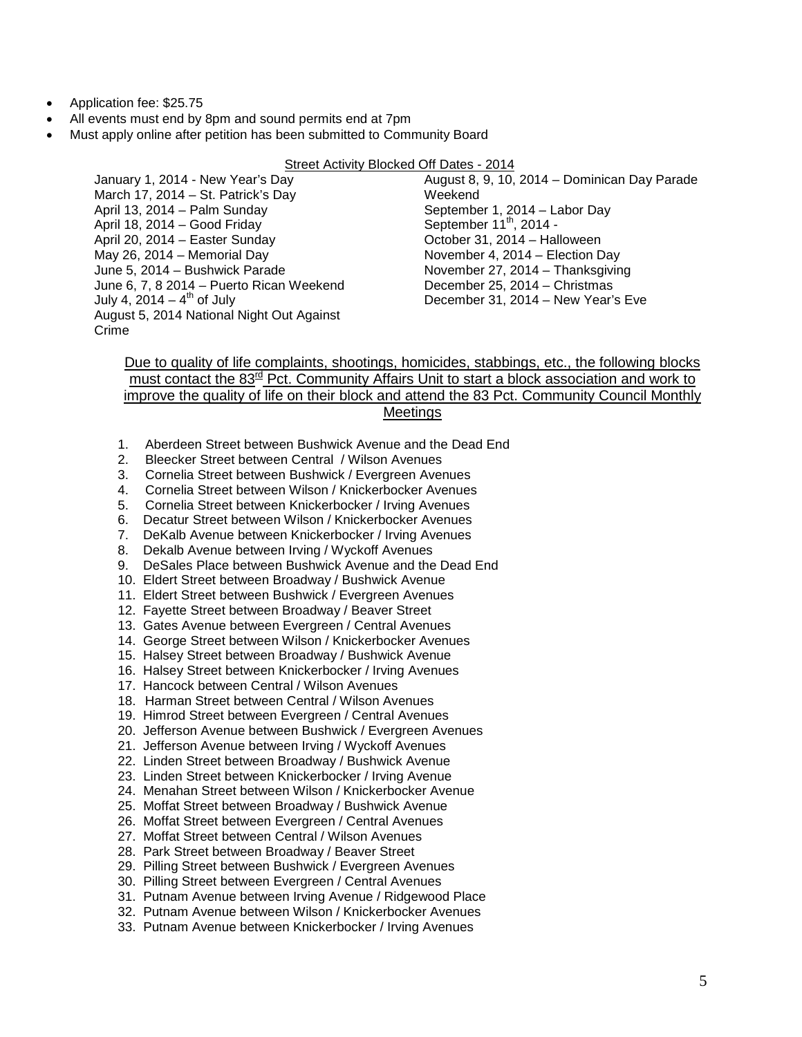- Application fee: \$25.75
- All events must end by 8pm and sound permits end at 7pm
- Must apply online after petition has been submitted to Community Board

#### Street Activity Blocked Off Dates - 2014

January 1, 2014 - New Year's Day March 17, 2014 – St. Patrick's Day April 13, 2014 – Palm Sunday April 18, 2014 – Good Friday April 20, 2014 – Easter Sunday May 26, 2014 – Memorial Day June 5, 2014 – Bushwick Parade June 6, 7, 8 2014 – Puerto Rican Weekend July 4,  $2014 - 4$ <sup>th</sup> of July August 5, 2014 National Night Out Against Crime

August 8, 9, 10, 2014 – Dominican Day Parade **Weekend** September 1, 2014 – Labor Day September  $11<sup>th</sup>$ , 2014 -October 31, 2014 – Halloween November 4, 2014 – Election Day November 27, 2014 – Thanksgiving December 25, 2014 – Christmas December 31, 2014 – New Year's Eve

## Due to quality of life complaints, shootings, homicides, stabbings, etc., the following blocks must contact the 83<sup>rd</sup> Pct. Community Affairs Unit to start a block association and work to improve the quality of life on their block and attend the 83 Pct. Community Council Monthly **Meetings**

- 1. Aberdeen Street between Bushwick Avenue and the Dead End
- 2. Bleecker Street between Central / Wilson Avenues
- 3. Cornelia Street between Bushwick / Evergreen Avenues
- 4. Cornelia Street between Wilson / Knickerbocker Avenues
- 5. Cornelia Street between Knickerbocker / Irving Avenues
- 6. Decatur Street between Wilson / Knickerbocker Avenues
- 7. DeKalb Avenue between Knickerbocker / Irving Avenues
- 8. Dekalb Avenue between Irving / Wyckoff Avenues
- 9. DeSales Place between Bushwick Avenue and the Dead End
- 10. Eldert Street between Broadway / Bushwick Avenue
- 11. Eldert Street between Bushwick / Evergreen Avenues
- 12. Fayette Street between Broadway / Beaver Street
- 13. Gates Avenue between Evergreen / Central Avenues
- 14. George Street between Wilson / Knickerbocker Avenues
- 15. Halsey Street between Broadway / Bushwick Avenue
- 16. Halsey Street between Knickerbocker / Irving Avenues
- 17. Hancock between Central / Wilson Avenues
- 18. Harman Street between Central / Wilson Avenues
- 19. Himrod Street between Evergreen / Central Avenues
- 20. Jefferson Avenue between Bushwick / Evergreen Avenues
- 21. Jefferson Avenue between Irving / Wyckoff Avenues
- 22. Linden Street between Broadway / Bushwick Avenue
- 23. Linden Street between Knickerbocker / Irving Avenue
- 24. Menahan Street between Wilson / Knickerbocker Avenue
- 25. Moffat Street between Broadway / Bushwick Avenue
- 26. Moffat Street between Evergreen / Central Avenues
- 27. Moffat Street between Central / Wilson Avenues
- 28. Park Street between Broadway / Beaver Street
- 29. Pilling Street between Bushwick / Evergreen Avenues
- 30. Pilling Street between Evergreen / Central Avenues
- 31. Putnam Avenue between Irving Avenue / Ridgewood Place
- 32. Putnam Avenue between Wilson / Knickerbocker Avenues
- 33. Putnam Avenue between Knickerbocker / Irving Avenues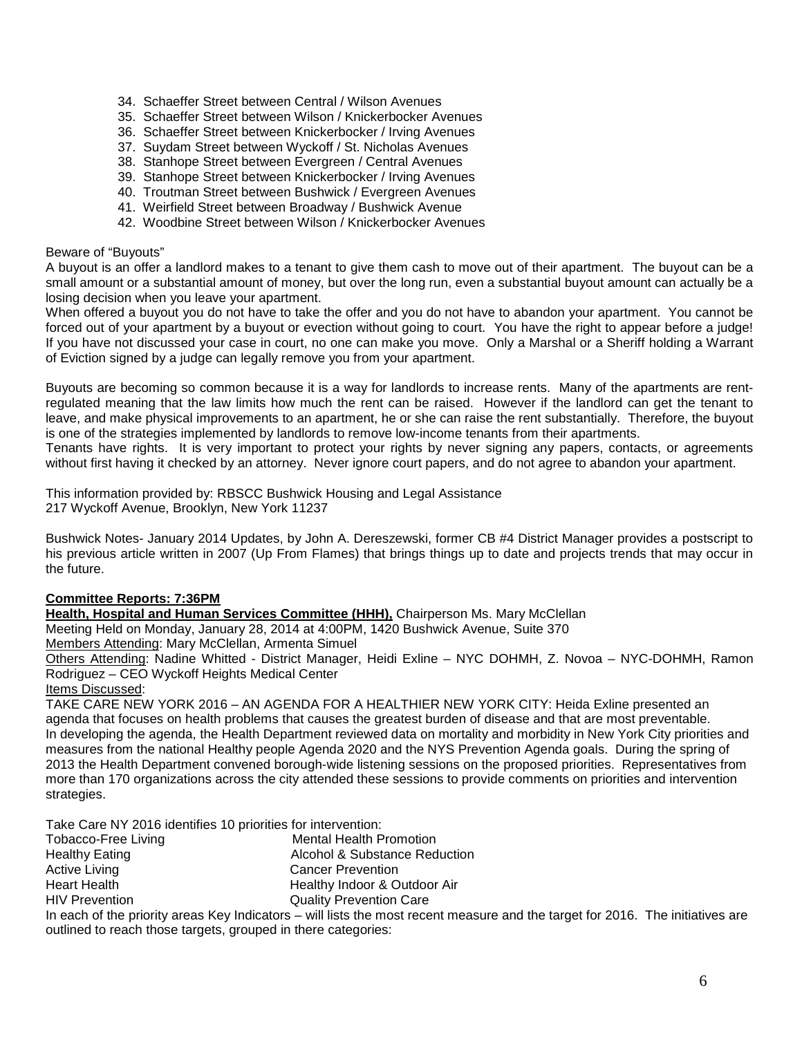- 34. Schaeffer Street between Central / Wilson Avenues
- 35. Schaeffer Street between Wilson / Knickerbocker Avenues
- 36. Schaeffer Street between Knickerbocker / Irving Avenues
- 37. Suydam Street between Wyckoff / St. Nicholas Avenues
- 38. Stanhope Street between Evergreen / Central Avenues
- 39. Stanhope Street between Knickerbocker / Irving Avenues
- 40. Troutman Street between Bushwick / Evergreen Avenues
- 41. Weirfield Street between Broadway / Bushwick Avenue
- 42. Woodbine Street between Wilson / Knickerbocker Avenues

### Beware of "Buyouts"

A buyout is an offer a landlord makes to a tenant to give them cash to move out of their apartment. The buyout can be a small amount or a substantial amount of money, but over the long run, even a substantial buyout amount can actually be a losing decision when you leave your apartment.

When offered a buyout you do not have to take the offer and you do not have to abandon your apartment. You cannot be forced out of your apartment by a buyout or evection without going to court. You have the right to appear before a judge! If you have not discussed your case in court, no one can make you move. Only a Marshal or a Sheriff holding a Warrant of Eviction signed by a judge can legally remove you from your apartment.

Buyouts are becoming so common because it is a way for landlords to increase rents. Many of the apartments are rentregulated meaning that the law limits how much the rent can be raised. However if the landlord can get the tenant to leave, and make physical improvements to an apartment, he or she can raise the rent substantially. Therefore, the buyout is one of the strategies implemented by landlords to remove low-income tenants from their apartments.

Tenants have rights. It is very important to protect your rights by never signing any papers, contacts, or agreements without first having it checked by an attorney. Never ignore court papers, and do not agree to abandon your apartment.

This information provided by: RBSCC Bushwick Housing and Legal Assistance 217 Wyckoff Avenue, Brooklyn, New York 11237

Bushwick Notes- January 2014 Updates, by John A. Dereszewski, former CB #4 District Manager provides a postscript to his previous article written in 2007 (Up From Flames) that brings things up to date and projects trends that may occur in the future.

## **Committee Reports: 7:36PM**

**Health, Hospital and Human Services Committee (HHH),** Chairperson Ms. Mary McClellan

Meeting Held on Monday, January 28, 2014 at 4:00PM, 1420 Bushwick Avenue, Suite 370 Members Attending: Mary McClellan, Armenta Simuel

Others Attending: Nadine Whitted - District Manager, Heidi Exline – NYC DOHMH, Z. Novoa – NYC-DOHMH, Ramon Rodriguez – CEO Wyckoff Heights Medical Center

Items Discussed:

TAKE CARE NEW YORK 2016 – AN AGENDA FOR A HEALTHIER NEW YORK CITY: Heida Exline presented an agenda that focuses on health problems that causes the greatest burden of disease and that are most preventable. In developing the agenda, the Health Department reviewed data on mortality and morbidity in New York City priorities and measures from the national Healthy people Agenda 2020 and the NYS Prevention Agenda goals. During the spring of 2013 the Health Department convened borough-wide listening sessions on the proposed priorities. Representatives from more than 170 organizations across the city attended these sessions to provide comments on priorities and intervention strategies.

Take Care NY 2016 identifies 10 priorities for intervention:

| Tobacco-Free Living   | <b>Mental Health Promotion</b> |
|-----------------------|--------------------------------|
| <b>Healthy Eating</b> | Alcohol & Substance Reduction  |
| <b>Active Living</b>  | <b>Cancer Prevention</b>       |
| <b>Heart Health</b>   | Healthy Indoor & Outdoor Air   |
| <b>HIV Prevention</b> | <b>Quality Prevention Care</b> |
|                       |                                |

In each of the priority areas Key Indicators – will lists the most recent measure and the target for 2016. The initiatives are outlined to reach those targets, grouped in there categories: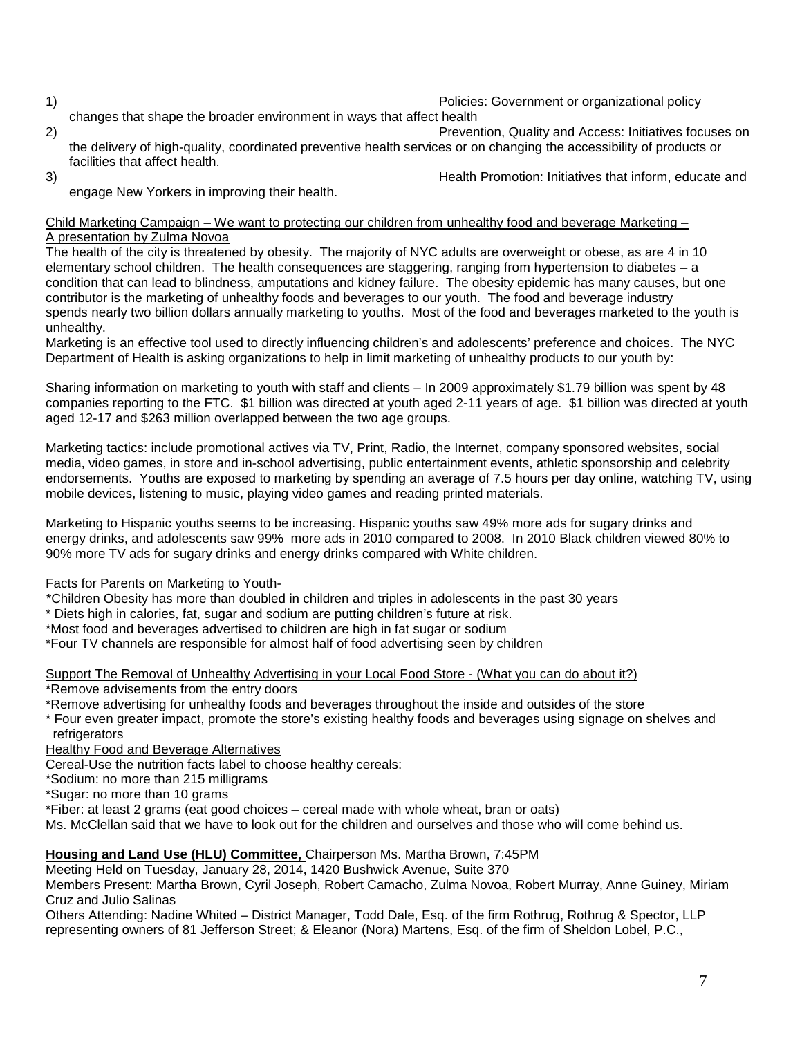1) Policies: Government or organizational policy

- changes that shape the broader environment in ways that affect health 2) Prevention, Quality and Access: Initiatives focuses on the delivery of high-quality, coordinated preventive health services or on changing the accessibility of products or facilities that affect health.
- 

3) Health Promotion: Initiatives that inform, educate and

engage New Yorkers in improving their health.

#### Child Marketing Campaign – We want to protecting our children from unhealthy food and beverage Marketing – A presentation by Zulma Novoa

The health of the city is threatened by obesity. The majority of NYC adults are overweight or obese, as are 4 in 10 elementary school children. The health consequences are staggering, ranging from hypertension to diabetes – a condition that can lead to blindness, amputations and kidney failure. The obesity epidemic has many causes, but one contributor is the marketing of unhealthy foods and beverages to our youth. The food and beverage industry spends nearly two billion dollars annually marketing to youths. Most of the food and beverages marketed to the youth is unhealthy.

Marketing is an effective tool used to directly influencing children's and adolescents' preference and choices. The NYC Department of Health is asking organizations to help in limit marketing of unhealthy products to our youth by:

Sharing information on marketing to youth with staff and clients – In 2009 approximately \$1.79 billion was spent by 48 companies reporting to the FTC. \$1 billion was directed at youth aged 2-11 years of age. \$1 billion was directed at youth aged 12-17 and \$263 million overlapped between the two age groups.

Marketing tactics: include promotional actives via TV, Print, Radio, the Internet, company sponsored websites, social media, video games, in store and in-school advertising, public entertainment events, athletic sponsorship and celebrity endorsements. Youths are exposed to marketing by spending an average of 7.5 hours per day online, watching TV, using mobile devices, listening to music, playing video games and reading printed materials.

Marketing to Hispanic youths seems to be increasing. Hispanic youths saw 49% more ads for sugary drinks and energy drinks, and adolescents saw 99% more ads in 2010 compared to 2008. In 2010 Black children viewed 80% to 90% more TV ads for sugary drinks and energy drinks compared with White children.

## Facts for Parents on Marketing to Youth-

\*Children Obesity has more than doubled in children and triples in adolescents in the past 30 years

- \* Diets high in calories, fat, sugar and sodium are putting children's future at risk.
- \*Most food and beverages advertised to children are high in fat sugar or sodium
- \*Four TV channels are responsible for almost half of food advertising seen by children

Support The Removal of Unhealthy Advertising in your Local Food Store - (What you can do about it?) \*Remove advisements from the entry doors

\*Remove advertising for unhealthy foods and beverages throughout the inside and outsides of the store

- \* Four even greater impact, promote the store's existing healthy foods and beverages using signage on shelves and refrigerators
- Healthy Food and Beverage Alternatives

Cereal-Use the nutrition facts label to choose healthy cereals:

\*Sodium: no more than 215 milligrams

\*Sugar: no more than 10 grams

\*Fiber: at least 2 grams (eat good choices – cereal made with whole wheat, bran or oats)

Ms. McClellan said that we have to look out for the children and ourselves and those who will come behind us.

# **Housing and Land Use (HLU) Committee,** Chairperson Ms. Martha Brown, 7:45PM

Meeting Held on Tuesday, January 28, 2014, 1420 Bushwick Avenue, Suite 370

Members Present: Martha Brown, Cyril Joseph, Robert Camacho, Zulma Novoa, Robert Murray, Anne Guiney, Miriam Cruz and Julio Salinas

Others Attending: Nadine Whited – District Manager, Todd Dale, Esq. of the firm Rothrug, Rothrug & Spector, LLP representing owners of 81 Jefferson Street; & Eleanor (Nora) Martens, Esq. of the firm of Sheldon Lobel, P.C.,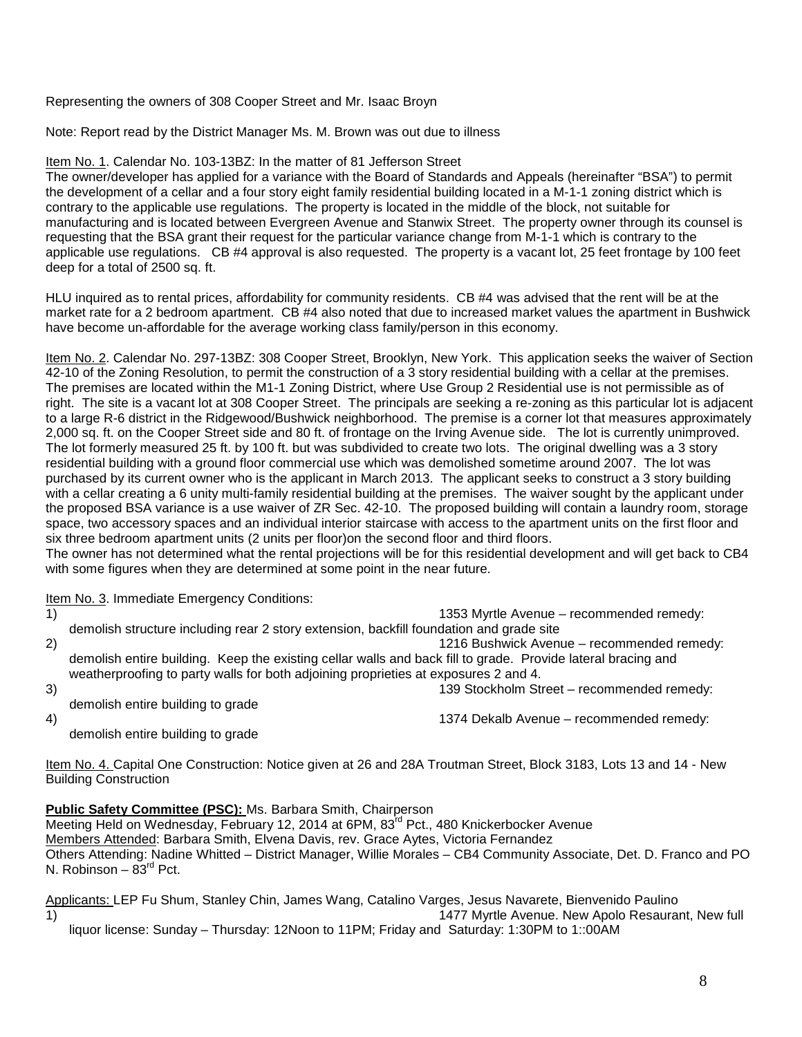Representing the owners of 308 Cooper Street and Mr. Isaac Broyn

Note: Report read by the District Manager Ms. M. Brown was out due to illness

Item No. 1. Calendar No. 103-13BZ: In the matter of 81 Jefferson Street

The owner/developer has applied for a variance with the Board of Standards and Appeals (hereinafter "BSA") to permit the development of a cellar and a four story eight family residential building located in a M-1-1 zoning district which is contrary to the applicable use regulations. The property is located in the middle of the block, not suitable for manufacturing and is located between Evergreen Avenue and Stanwix Street. The property owner through its counsel is requesting that the BSA grant their request for the particular variance change from M-1-1 which is contrary to the applicable use regulations. CB #4 approval is also requested. The property is a vacant lot, 25 feet frontage by 100 feet deep for a total of 2500 sq. ft.

HLU inquired as to rental prices, affordability for community residents. CB #4 was advised that the rent will be at the market rate for a 2 bedroom apartment. CB #4 also noted that due to increased market values the apartment in Bushwick have become un-affordable for the average working class family/person in this economy.

Item No. 2. Calendar No. 297-13BZ: 308 Cooper Street, Brooklyn, New York. This application seeks the waiver of Section 42-10 of the Zoning Resolution, to permit the construction of a 3 story residential building with a cellar at the premises. The premises are located within the M1-1 Zoning District, where Use Group 2 Residential use is not permissible as of right. The site is a vacant lot at 308 Cooper Street. The principals are seeking a re-zoning as this particular lot is adjacent to a large R-6 district in the Ridgewood/Bushwick neighborhood. The premise is a corner lot that measures approximately 2,000 sq. ft. on the Cooper Street side and 80 ft. of frontage on the Irving Avenue side. The lot is currently unimproved. The lot formerly measured 25 ft. by 100 ft. but was subdivided to create two lots. The original dwelling was a 3 story residential building with a ground floor commercial use which was demolished sometime around 2007. The lot was purchased by its current owner who is the applicant in March 2013. The applicant seeks to construct a 3 story building with a cellar creating a 6 unity multi-family residential building at the premises. The waiver sought by the applicant under the proposed BSA variance is a use waiver of ZR Sec. 42-10. The proposed building will contain a laundry room, storage space, two accessory spaces and an individual interior staircase with access to the apartment units on the first floor and six three bedroom apartment units (2 units per floor)on the second floor and third floors.

The owner has not determined what the rental projections will be for this residential development and will get back to CB4 with some figures when they are determined at some point in the near future.

Item No. 3. Immediate Emergency Conditions:<br>1)

1353 Myrtle Avenue – recommended remedy: demolish structure including rear 2 story extension, backfill foundation and grade site 2) 1216 Bushwick Avenue – recommended remedy: demolish entire building. Keep the existing cellar walls and back fill to grade. Provide lateral bracing and weatherproofing to party walls for both adjoining proprieties at exposures 2 and 4. 3) 139 Stockholm Street – recommended remedy:

demolish entire building to grade

4) 1374 Dekalb Avenue – recommended remedy:

demolish entire building to grade

Item No. 4. Capital One Construction: Notice given at 26 and 28A Troutman Street, Block 3183, Lots 13 and 14 - New Building Construction

**Public Safety Committee (PSC):** Ms. Barbara Smith, Chairperson Meeting Held on Wednesday, February 12, 2014 at 6PM, 83<sup>rd</sup> Pct., 480 Knickerbocker Avenue Members Attended: Barbara Smith, Elvena Davis, rev. Grace Aytes, Victoria Fernandez Others Attending: Nadine Whitted – District Manager, Willie Morales – CB4 Community Associate, Det. D. Franco and PO N. Robinson –  $83<sup>rd</sup>$  Pct.

Applicants: LEP Fu Shum, Stanley Chin, James Wang, Catalino Varges, Jesus Navarete, Bienvenido Paulino<br>1)<br>1477 Myrtle Avenue. New Apolo Resaurar 1477 Myrtle Avenue. New Apolo Resaurant, New full liquor license: Sunday – Thursday: 12Noon to 11PM; Friday and Saturday: 1:30PM to 1::00AM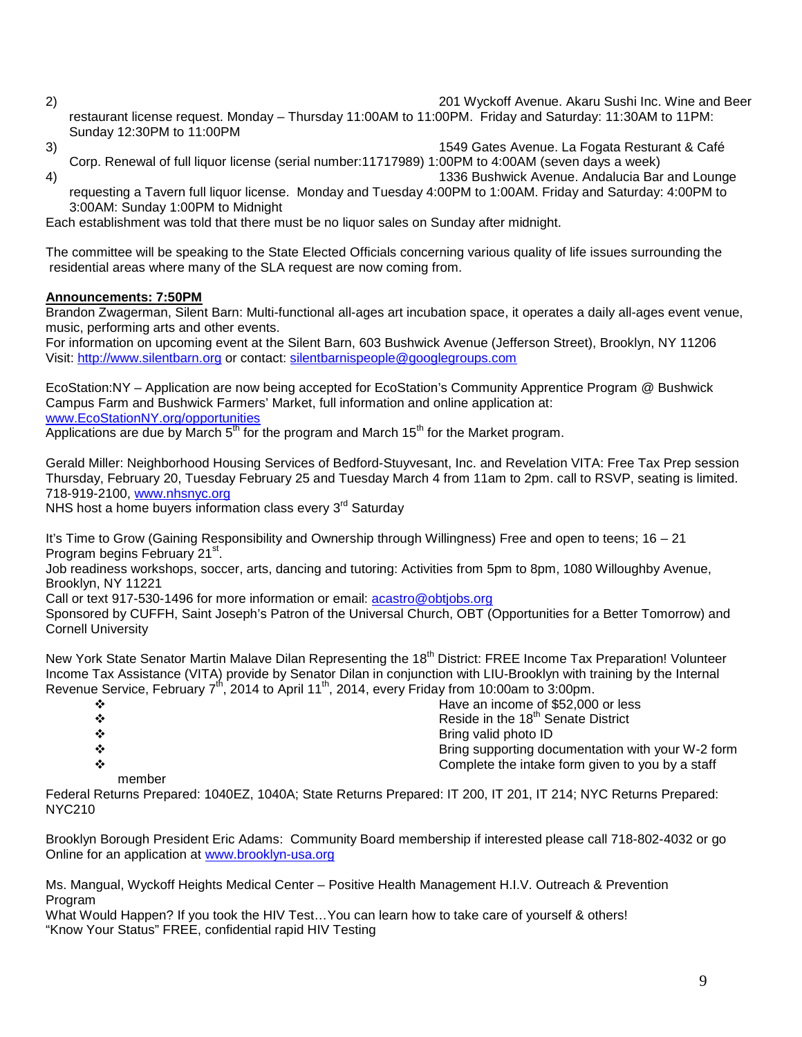2) 201 Wyckoff Avenue. Akaru Sushi Inc. Wine and Beer

restaurant license request. Monday – Thursday 11:00AM to 11:00PM. Friday and Saturday: 11:30AM to 11PM: Sunday 12:30PM to 11:00PM

3) 1549 Gates Avenue. La Fogata Resturant & Café

Corp. Renewal of full liquor license (serial number:11717989) 1:00PM to 4:00AM (seven days a week) 4) 1336 Bushwick Avenue. Andalucia Bar and Lounge

requesting a Tavern full liquor license. Monday and Tuesday 4:00PM to 1:00AM. Friday and Saturday: 4:00PM to 3:00AM: Sunday 1:00PM to Midnight

Each establishment was told that there must be no liquor sales on Sunday after midnight.

The committee will be speaking to the State Elected Officials concerning various quality of life issues surrounding the residential areas where many of the SLA request are now coming from.

# **Announcements: 7:50PM**

Brandon Zwagerman, Silent Barn: Multi-functional all-ages art incubation space, it operates a daily all-ages event venue, music, performing arts and other events.

For information on upcoming event at the Silent Barn, 603 Bushwick Avenue (Jefferson Street), Brooklyn, NY 11206 Visit: [http://www.silentbarn.org](http://www.silentbarn.org/) or contact: [silentbarnispeople@googlegroups.com](mailto:silentbarnispeople@googlegroups.com)

EcoStation:NY – Application are now being accepted for EcoStation's Community Apprentice Program @ Bushwick Campus Farm and Bushwick Farmers' Market, full information and online application at: [www.EcoStationNY.org/opportunities](http://www.ecostationny.org/opportunities)

Applications are due by March  $5<sup>th</sup>$  for the program and March 15<sup>th</sup> for the Market program.

Gerald Miller: Neighborhood Housing Services of Bedford-Stuyvesant, Inc. and Revelation VITA: Free Tax Prep session Thursday, February 20, Tuesday February 25 and Tuesday March 4 from 11am to 2pm. call to RSVP, seating is limited. 718-919-2100, [www.nhsnyc.org](http://www.nhsnyc.org/)

NHS host a home buyers information class every 3<sup>rd</sup> Saturday

It's Time to Grow (Gaining Responsibility and Ownership through Willingness) Free and open to teens; 16 – 21 Program begins February 21<sup>st</sup>.

Job readiness workshops, soccer, arts, dancing and tutoring: Activities from 5pm to 8pm, 1080 Willoughby Avenue, Brooklyn, NY 11221

Call or text 917-530-1496 for more information or email: [acastro@obtjobs.org](mailto:acastro@obtjobs.org)

Sponsored by CUFFH, Saint Joseph's Patron of the Universal Church, OBT (Opportunities for a Better Tomorrow) and Cornell University

New York State Senator Martin Malave Dilan Representing the 18<sup>th</sup> District: FREE Income Tax Preparation! Volunteer Income Tax Assistance (VITA) provide by Senator Dilan in conjunction with LIU-Brooklyn with training by the Internal Revenue Service, February  $7<sup>th</sup>$ , 2014 to April 11<sup>th</sup>, 2014, every Friday from 10:00am to 3:00pm.

| $\cdot$ | Have an income of \$52,000 or less                |
|---------|---------------------------------------------------|
| $\cdot$ | Reside in the 18 <sup>th</sup> Senate District    |
| ❖       | Bring valid photo ID                              |
| ❖       | Bring supporting documentation with your W-2 form |
| ❖       | Complete the intake form given to you by a staff  |

member

Federal Returns Prepared: 1040EZ, 1040A; State Returns Prepared: IT 200, IT 201, IT 214; NYC Returns Prepared: NYC210

Brooklyn Borough President Eric Adams: Community Board membership if interested please call 718-802-4032 or go Online for an application at [www.brooklyn-usa.org](http://www.brooklyn-usa.org/)

Ms. Mangual, Wyckoff Heights Medical Center – Positive Health Management H.I.V. Outreach & Prevention Program

What Would Happen? If you took the HIV Test…You can learn how to take care of yourself & others! "Know Your Status" FREE, confidential rapid HIV Testing